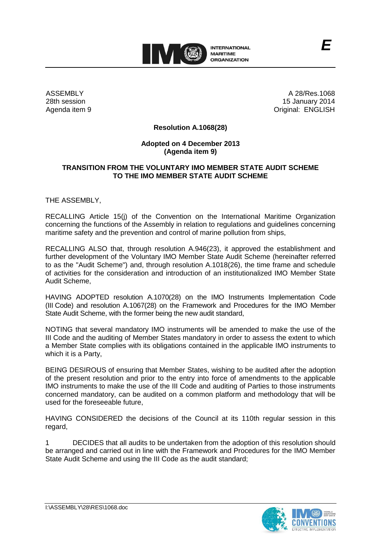

ASSEMBLY 28th session Agenda item 9

A 28/Res.1068 15 January 2014 Original: ENGLISH

*E*

## **Resolution A.1068(28)**

## **Adopted on 4 December 2013 (Agenda item 9)**

## **TRANSITION FROM THE VOLUNTARY IMO MEMBER STATE AUDIT SCHEME TO THE IMO MEMBER STATE AUDIT SCHEME**

THE ASSEMBLY,

RECALLING Article 15(j) of the Convention on the International Maritime Organization concerning the functions of the Assembly in relation to regulations and guidelines concerning maritime safety and the prevention and control of marine pollution from ships,

RECALLING ALSO that, through resolution A.946(23), it approved the establishment and further development of the Voluntary IMO Member State Audit Scheme (hereinafter referred to as the "Audit Scheme") and, through resolution A.1018(26), the time frame and schedule of activities for the consideration and introduction of an institutionalized IMO Member State Audit Scheme,

HAVING ADOPTED resolution A.1070(28) on the IMO Instruments Implementation Code (III Code) and resolution A.1067(28) on the Framework and Procedures for the IMO Member State Audit Scheme, with the former being the new audit standard,

NOTING that several mandatory IMO instruments will be amended to make the use of the III Code and the auditing of Member States mandatory in order to assess the extent to which a Member State complies with its obligations contained in the applicable IMO instruments to which it is a Party,

BEING DESIROUS of ensuring that Member States, wishing to be audited after the adoption of the present resolution and prior to the entry into force of amendments to the applicable IMO instruments to make the use of the III Code and auditing of Parties to those instruments concerned mandatory, can be audited on a common platform and methodology that will be used for the foreseeable future,

HAVING CONSIDERED the decisions of the Council at its 110th regular session in this regard,

1 DECIDES that all audits to be undertaken from the adoption of this resolution should be arranged and carried out in line with the Framework and Procedures for the IMO Member State Audit Scheme and using the III Code as the audit standard;